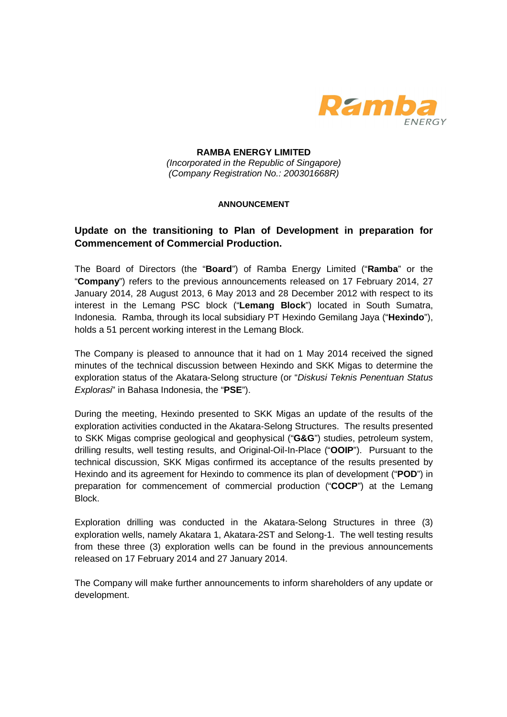

**RAMBA ENERGY LIMITED**  (Incorporated in the Republic of Singapore) (Company Registration No.: 200301668R)

## **ANNOUNCEMENT**

## **Update on the transitioning to Plan of Development in preparation for Commencement of Commercial Production.**

The Board of Directors (the "**Board**") of Ramba Energy Limited ("**Ramba**" or the "**Company**") refers to the previous announcements released on 17 February 2014, 27 January 2014, 28 August 2013, 6 May 2013 and 28 December 2012 with respect to its interest in the Lemang PSC block ("**Lemang Block**") located in South Sumatra, Indonesia. Ramba, through its local subsidiary PT Hexindo Gemilang Jaya ("**Hexindo**"), holds a 51 percent working interest in the Lemang Block.

The Company is pleased to announce that it had on 1 May 2014 received the signed minutes of the technical discussion between Hexindo and SKK Migas to determine the exploration status of the Akatara-Selong structure (or "Diskusi Teknis Penentuan Status Explorasi" in Bahasa Indonesia, the "**PSE**").

During the meeting, Hexindo presented to SKK Migas an update of the results of the exploration activities conducted in the Akatara-Selong Structures. The results presented to SKK Migas comprise geological and geophysical ("**G&G**") studies, petroleum system, drilling results, well testing results, and Original-Oil-In-Place ("**OOIP**"). Pursuant to the technical discussion, SKK Migas confirmed its acceptance of the results presented by Hexindo and its agreement for Hexindo to commence its plan of development ("**POD**") in preparation for commencement of commercial production ("**COCP**") at the Lemang Block.

Exploration drilling was conducted in the Akatara-Selong Structures in three (3) exploration wells, namely Akatara 1, Akatara-2ST and Selong-1. The well testing results from these three (3) exploration wells can be found in the previous announcements released on 17 February 2014 and 27 January 2014.

The Company will make further announcements to inform shareholders of any update or development.